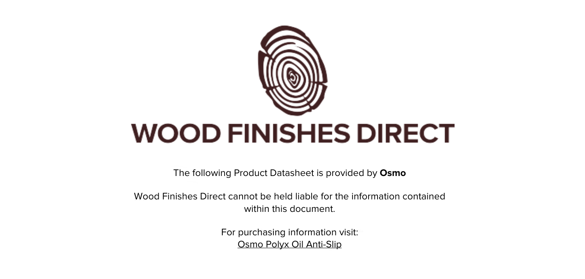

The following Product Datasheet is provided by **Osmo**

Wood Finishes Direct cannot be held liable for the information contained within this document.

> For purchasing information visit: [Osmo Polyx Oil Anti-Slip](https://www.wood-finishes-direct.com/product/osmo-polyx-oil-anti-slip-3089-r11)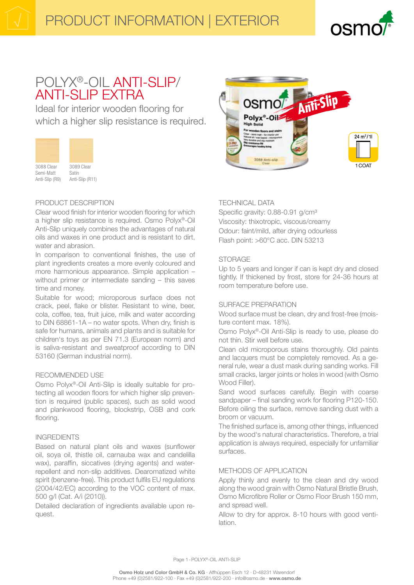

# POLYX®-OIL ANTI-SLIP/ **ANTI-SLIP EXTRA**

Ideal for interior wooden flooring for which a higher slip resistance is required.



Anti-Slip (R9) Anti-Slip (R11)

# PRODUCT DESCRIPTION

Clear wood finish for interior wooden flooring for which a higher slip resistance is required. Osmo Polyx®-Oil Anti-Slip uniquely combines the advantages of natural oils and waxes in one product and is resistant to dirt, water and abrasion.

In comparison to conventional finishes, the use of plant ingredients creates a more evenly coloured and more harmonious appearance. Simple application without primer or intermediate sanding - this saves time and money.

Suitable for wood; microporous surface does not crack, peel, flake or blister. Resistant to wine, beer, cola, coffee, tea, fruit juice, milk and water according to DIN 68861-1A - no water spots. When dry, finish is safe for humans, animals and plants and is suitable for children's toys as per EN 71.3 (European norm) and is saliva-resistant and sweatproof according to DIN 53160 (German industrial norm).

# RECOMMENDED USE

Osmo Polyx®-Oil Anti-Slip is ideally suitable for protecting all wooden floors for which higher slip prevention is required (public spaces), such as solid wood and plankwood flooring, blockstrip, OSB and cork flooring.

### **INGREDIENTS**

Based on natural plant oils and waxes (sunflower oil, soya oil, thistle oil, carnauba wax and candelilla wax), paraffin, siccatives (drying agents) and waterrepellent and non-slip additives. Dearomatized white spirit (benzene-free). This product fulfils EU regulations (2004/42/EC) according to the VOC content of max. 500 g/l (Cat. A/i (2010)).

Detailed declaration of ingredients available upon request.



# **TECHNICAL DATA**

Specific gravity: 0.88-0.91 g/cm<sup>3</sup> Viscosity: thixotropic, viscous/creamy Odour: faint/mild, after drying odourless Flash point: >60°C acc. DIN 53213

# **STORAGE**

Up to 5 years and longer if can is kept dry and closed tightly. If thickened by frost, store for 24-36 hours at room temperature before use.

# SURFACE PREPARATION

Wood surface must be clean, dry and frost-free (moisture content max. 18%).

Osmo Polyx®-Oil Anti-Slip is ready to use, please do not thin. Stir well before use.

Clean old microporous stains thoroughly. Old paints and lacquers must be completely removed. As a general rule, wear a dust mask during sanding works. Fill small cracks, larger joints or holes in wood (with Osmo Wood Filler).

Sand wood surfaces carefully. Begin with coarse sandpaper – final sanding work for flooring P120-150. Before oiling the surface, remove sanding dust with a broom or vacuum.

The finished surface is, among other things, influenced by the wood's natural characteristics. Therefore, a trial application is always required, especially for unfamiliar surfaces.

# METHODS OF APPLICATION

Apply thinly and evenly to the clean and dry wood along the wood grain with Osmo Natural Bristle Brush, Osmo Microfibre Roller or Osmo Floor Brush 150 mm, and spread well.

Allow to dry for approx. 8-10 hours with good ventilation.